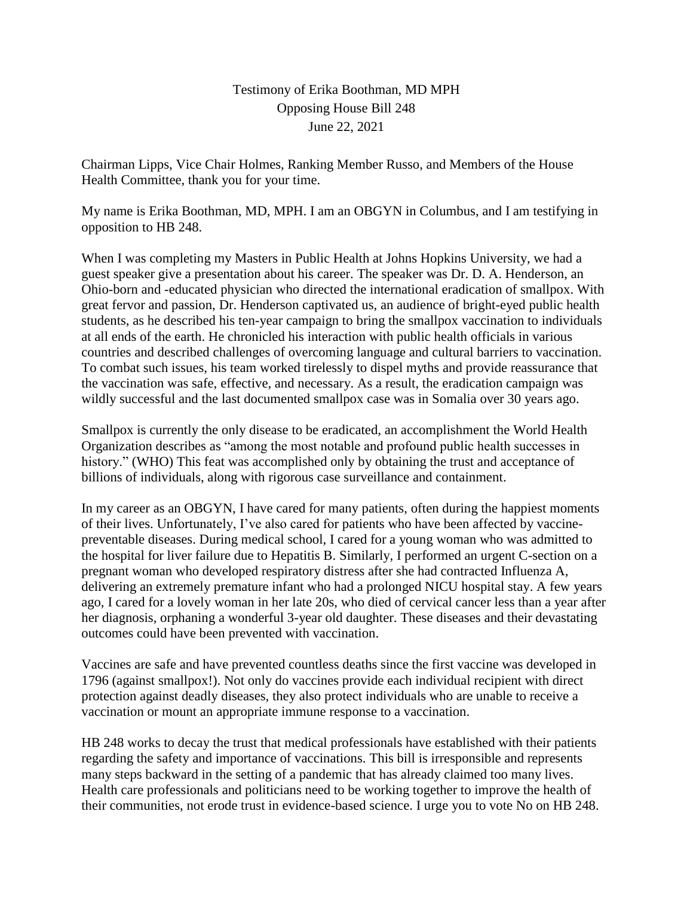## Testimony of Erika Boothman, MD MPH Opposing House Bill 248 June 22, 2021

Chairman Lipps, Vice Chair Holmes, Ranking Member Russo, and Members of the House Health Committee, thank you for your time.

My name is Erika Boothman, MD, MPH. I am an OBGYN in Columbus, and I am testifying in opposition to HB 248.

When I was completing my Masters in Public Health at Johns Hopkins University, we had a guest speaker give a presentation about his career. The speaker was Dr. D. A. Henderson, an Ohio-born and -educated physician who directed the international eradication of smallpox. With great fervor and passion, Dr. Henderson captivated us, an audience of bright-eyed public health students, as he described his ten-year campaign to bring the smallpox vaccination to individuals at all ends of the earth. He chronicled his interaction with public health officials in various countries and described challenges of overcoming language and cultural barriers to vaccination. To combat such issues, his team worked tirelessly to dispel myths and provide reassurance that the vaccination was safe, effective, and necessary. As a result, the eradication campaign was wildly successful and the last documented smallpox case was in Somalia over 30 years ago.

Smallpox is currently the only disease to be eradicated, an accomplishment the World Health Organization describes as "among the most notable and profound public health successes in history." (WHO) This feat was accomplished only by obtaining the trust and acceptance of billions of individuals, along with rigorous case surveillance and containment.

In my career as an OBGYN, I have cared for many patients, often during the happiest moments of their lives. Unfortunately, I've also cared for patients who have been affected by vaccinepreventable diseases. During medical school, I cared for a young woman who was admitted to the hospital for liver failure due to Hepatitis B. Similarly, I performed an urgent C-section on a pregnant woman who developed respiratory distress after she had contracted Influenza A, delivering an extremely premature infant who had a prolonged NICU hospital stay. A few years ago, I cared for a lovely woman in her late 20s, who died of cervical cancer less than a year after her diagnosis, orphaning a wonderful 3-year old daughter. These diseases and their devastating outcomes could have been prevented with vaccination.

Vaccines are safe and have prevented countless deaths since the first vaccine was developed in 1796 (against smallpox!). Not only do vaccines provide each individual recipient with direct protection against deadly diseases, they also protect individuals who are unable to receive a vaccination or mount an appropriate immune response to a vaccination.

HB 248 works to decay the trust that medical professionals have established with their patients regarding the safety and importance of vaccinations. This bill is irresponsible and represents many steps backward in the setting of a pandemic that has already claimed too many lives. Health care professionals and politicians need to be working together to improve the health of their communities, not erode trust in evidence-based science. I urge you to vote No on HB 248.